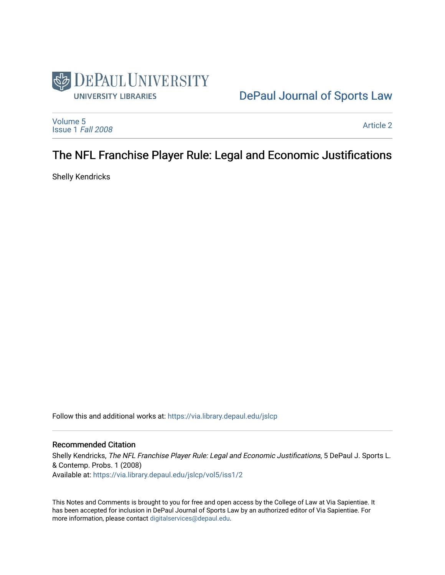

# [DePaul Journal of Sports Law](https://via.library.depaul.edu/jslcp)

[Volume 5](https://via.library.depaul.edu/jslcp/vol5) [Issue 1](https://via.library.depaul.edu/jslcp/vol5/iss1) Fall 2008

[Article 2](https://via.library.depaul.edu/jslcp/vol5/iss1/2) 

# The NFL Franchise Player Rule: Legal and Economic Justifications

Shelly Kendricks

Follow this and additional works at: [https://via.library.depaul.edu/jslcp](https://via.library.depaul.edu/jslcp?utm_source=via.library.depaul.edu%2Fjslcp%2Fvol5%2Fiss1%2F2&utm_medium=PDF&utm_campaign=PDFCoverPages) 

# Recommended Citation

Shelly Kendricks, The NFL Franchise Player Rule: Legal and Economic Justifications, 5 DePaul J. Sports L. & Contemp. Probs. 1 (2008) Available at: [https://via.library.depaul.edu/jslcp/vol5/iss1/2](https://via.library.depaul.edu/jslcp/vol5/iss1/2?utm_source=via.library.depaul.edu%2Fjslcp%2Fvol5%2Fiss1%2F2&utm_medium=PDF&utm_campaign=PDFCoverPages)

This Notes and Comments is brought to you for free and open access by the College of Law at Via Sapientiae. It has been accepted for inclusion in DePaul Journal of Sports Law by an authorized editor of Via Sapientiae. For more information, please contact [digitalservices@depaul.edu](mailto:digitalservices@depaul.edu).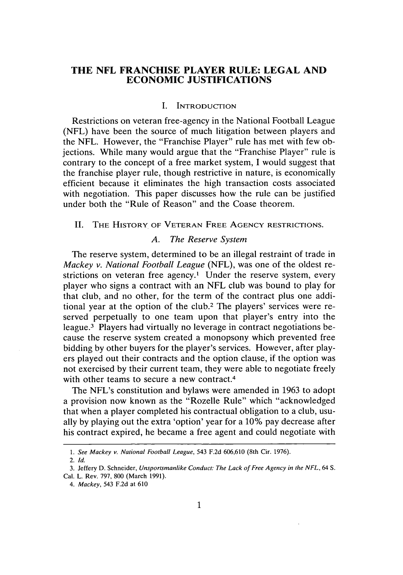# **THE NFL FRANCHISE PLAYER RULE: LEGAL AND ECONOMIC JUSTIFICATIONS**

#### **I. INTRODUCTION**

Restrictions on veteran free-agency in the National Football League **(NFL)** have been the source of much litigation between players and the **NFL.** However, the "Franchise Player" rule has met with few objections. While many would argue that the "Franchise Player" rule is contrary to the concept of a free market system, **I** would suggest that the franchise player rule, though restrictive in nature, is economically efficient because it eliminates the high transaction costs associated with negotiation. This paper discusses how the rule can be justified under both the "Rule of Reason" and the Coase theorem.

#### **II.** THE HISTORY OF **VETERAN FREE AGENCY** RESTRICTIONS.

#### *A. The Reserve System*

The reserve system, determined to be an illegal restraint of trade in *Mackey v. National Football League* **(NFL),** was one of the oldest restrictions on veteran free agency.<sup>1</sup> Under the reserve system, every player who signs a contract with an **NFL** club was bound to play for that club, and no other, for the term of the contract plus one additional year at the option of the club.2 The players' services were reserved perpetually to one team upon that player's entry into the league.3 Players had virtually no leverage in contract negotiations because the reserve system created a monopsony which prevented free bidding **by** other buyers for the player's services. However, after players played out their contracts and the option clause, if the option was not exercised **by** their current team, they were able to negotiate freely with other teams to secure a new contract.<sup>4</sup>

The NFL's constitution and bylaws were amended in **1963** to adopt a provision now known as the "Rozelle Rule" which "acknowledged that when a player completed his contractual obligation to a club, usually **by** playing out the extra 'option' year for a **10%** pay decrease after his contract expired, he became a free agent and could negotiate with

**<sup>1.</sup>** See Mackey v. *National Football League,* 543 **F.2d 606,610** (8th Cir. **1976).**

<sup>2.</sup> *Id.*

**<sup>3.</sup>** Jeffery **D.** Schneider, *Unsportsmanlike Conduct: The Lack of Free Agency in the NFL,* 64 **S.** Cal. L. Rev. *797,* **800** (March **1991).**

*<sup>4.</sup> Mackey,* 543 **F.2d** at **610**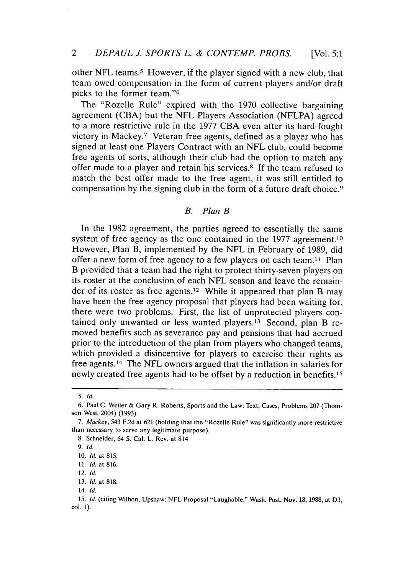other NFL teams.<sup>5</sup> However, if the player signed with a new club, that team owed compensation in the form of current players and/or draft picks to the former team."<sup>6</sup>

The "Rozelle Rule" expired with the **1970** collective bargaining agreement **(CBA)** but the **NFL** Players Association **(NFLPA)** agreed to a more restrictive rule in the **1977 CBA** even after its hard-fought victory in Mackey.7 Veteran free agents, defined as a player who has signed at least one Players Contract with an **NFL** club, could become free agents of sorts, although their club had the option to match any offer made to a player and retain his services.8 **If** the team refused to match the best offer made to the free agent, it was still entitled to compensation **by** the signing club in the form of a future draft choice.9

### *B. Plan B*

In the **1982** agreement, the parties agreed to essentially the same system of free agency as the one contained in the 1977 agreement.<sup>10</sup> However, Plan B, implemented **by** the **NFL** in February of **1989,** did offer a new form of free agency to a few players on each team.<sup>11</sup> Plan B provided that a team had the right to protect thirty-seven players on its roster at the conclusion of each **NFL** season and leave the remainder of its roster as free agents.12 While it appeared that plan B may have been the free agency proposal that players had been waiting for, there were two problems. First, the list of unprotected players contained only unwanted or less wanted players.'3 Second, plan B removed benefits such as severance pay and pensions that had accrued prior to the introduction of the plan from players who changed teams, which provided a disincentive for players to exercise their rights as free agents.14 The **NFL** owners argued that the inflation in salaries for newly created free agents had to be offset by a reduction in benefits.<sup>15</sup>

**<sup>5.</sup> Id.**

**<sup>6.</sup>** Paul **C.** Weiler **&** Gary R. Roberts, Sports and the Law: Text, Cases, Problems **207** (Thomson West, 2004) **(1993).**

**<sup>7.</sup>** Mackey, 543 **F.2d** at **621** (holding that the "Rozelle Rule" was significantly more restrictive than necessary to serve any legitimate purpose).

**<sup>8.</sup>** Schneider, 64 **S.** Cal. L. Rev. at 814

**<sup>9.</sup> Id.**

**<sup>10.</sup> Id.** at **815.**

**<sup>11.</sup> Id.** at **816.**

<sup>12.</sup> **Id.**

**<sup>13.</sup> Id.** at **818.**

<sup>14.</sup> **Id.**

<sup>15.</sup> **Id.** (citing Wilbon, Upshaw: **NFL** Proposal "Laughable," Wash. Post. Nov. **18, 1988,** at **D3, col. 1).**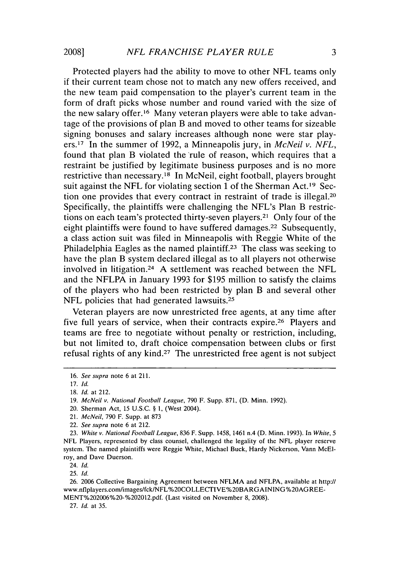Protected players had the ability to move to other **NFL** teams only if their current team chose not to match any new offers received, and the new team paid compensation to the player's current team in the form of draft picks whose number and round varied with the size of the new salary offer.16 Many veteran players were able to take advantage of the provisions of plan B and moved to other teams for sizeable signing bonuses and salary increases although none were star players.17 In the summer of **1992,** a Minneapolis jury, in *McNeil v. NFL,* found that plan B violated the rule of reason, which requires that a restraint be justified **by** legitimate business purposes and is no more restrictive than necessary.18 In McNeil, eight football, players brought suit against the NFL for violating section 1 of the Sherman Act.<sup>19</sup> Section one provides that every contract in restraint of trade is illegal.20 Specifically, the plaintiffs were challenging the NFL's Plan B restrictions on each team's protected thirty-seven players. 21 Only four of the eight plaintiffs were found to have suffered damages.<sup>22</sup> Subsequently, a class action suit was filed in Minneapolis with Reggie White of the Philadelphia Eagles as the named plaintiff.<sup>23</sup> The class was seeking to have the plan B system declared illegal as to all players not otherwise involved in litigation. <sup>24</sup>**A** settlement was reached between the **NFL** and the **NFLPA** in January **1993** for **\$195** million to satisfy the claims of the players who had been restricted **by** plan B and several other NFL policies that had generated lawsuits.<sup>25</sup>

Veteran players are now unrestricted free agents, at any time after five full years of service, when their contracts expire.<sup>26</sup> Players and teams are free to negotiate without penalty or restriction, including, but not limited to, draft choice compensation between clubs or first refusal rights of any kind.27 The unrestricted free agent is not subject

24. *Id.*

**25.** *Id.*

**26. 2006** Collective Bargaining Agreement between **NFLMA** and **NFLPA,** available at http:// www.nflplayers.com/images/fck/NFL%20COLLECTIVE%20BARGAINING %20AGREE-**MENT%202006%20-%202012.pdf.** (Last visited on November **8, 2008).**

**27.** *Id. at 35.*

**<sup>16.</sup>** *See supra* **note 6 at 211.**

**<sup>17.</sup>** *Id.*

**<sup>18.</sup>** *Id. at* 212.

**<sup>19.</sup>** *McNeil v. National Football League,* **790** F. Supp. **871, (D.** Minn. **1992).**

<sup>20.</sup> Sherman Act, **15 U.S.C. § 1.** (West 2004).

<sup>21.</sup> *McNeil,* **790** F. **Supp. at 873**

<sup>22.</sup> *See supra* note **6** at 212.

**<sup>23.</sup>** *White v. National Football League,* **836** F. Supp. 1458, 1461 n.4 **(D.** Minn. **1993).** In *White, 5* **NFL** Players, represented **by** class counsel, challenged the legality of the **NFL** player reserve system. The named plaintiffs were Reggie White, Michael Buck, Hardy Nickerson, Vann McElroy, and Dave **Duerson.**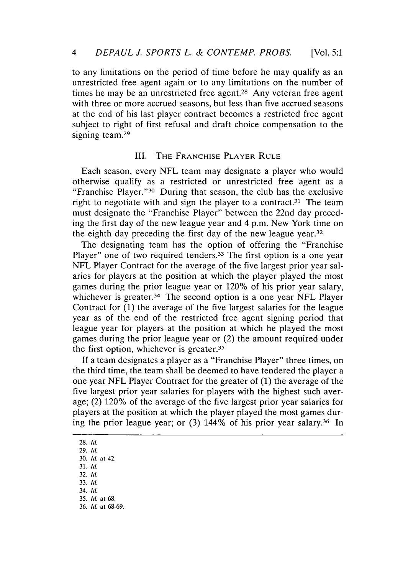to any limitations on the period of time before he may qualify as an unrestricted free agent again or to any limitations on the number of times he may be an unrestricted free agent.<sup>28</sup> Any veteran free agent with three or more accrued seasons, but less than five accrued seasons at the end of his last player contract becomes a restricted free agent subject to right of first refusal and draft choice compensation to the signing team.<sup>29</sup>

## III. **THE FRANCHISE PLAYER RULE**

Each season, every **NFL** team may designate a player who would otherwise qualify as a restricted or unrestricted free agent as a "Franchise Player."30 During that season, the club has the exclusive right to negotiate with and sign the player to a contract.<sup>31</sup> The team must designate the "Franchise Player" between the 22nd day preceding the first day of the new league year and 4 p.m. New York time on the eighth day preceding the first day of the new league year.<sup>32</sup>

The designating team has the option of offering the "Franchise Player" one of two required tenders.<sup>33</sup> The first option is a one year **NFL** Player Contract for the average of the five largest prior year salaries for players at the position at which the player played the most games during the prior league year or 120% of his prior year salary, whichever is greater.34 The second option is a one year **NFL** Player Contract for **(1)** the average of the five largest salaries for the league year as of the end of the restricted free agent signing period that league year for players at the position at which he played the most games during the prior league year or (2) the amount required under the first option, whichever is greater.35

**If** a team designates a player as a "Franchise Player" three times, on the third time, the team shall be deemed to have tendered the player a one year **NFL** Player Contract for the greater of **(1)** the average of the five largest prior year salaries for players with the highest such average; (2) 120% of the average of the five largest prior year salaries for players at the position at which the player played the most games during the prior league year; or **(3)** 144% of his prior year salary. 36 In

**28. Id.**

- **32. Id.**
- **33. Id.**
- 34. **Id.**

**<sup>29.</sup> Id.**

**<sup>30.</sup> Id. at** 42. **31. Id.**

**<sup>35.</sup> Id. at 68.**

**<sup>36.</sup> Id. at 68-69.**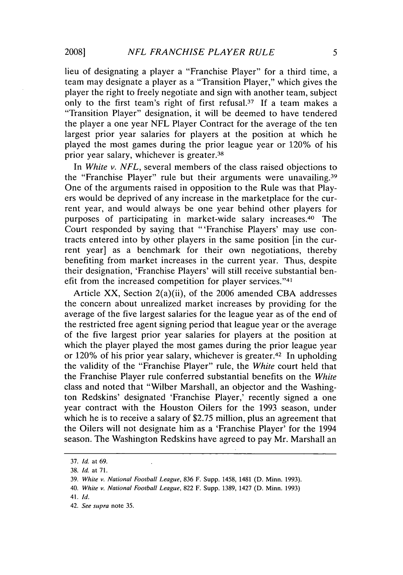lieu of designating a player a "Franchise Player" for a third time, a team may designate a player as a "Transition Player," which gives the player the right to freely negotiate and sign with another team, subject only to the first team's right of first refusal.37 **If** a team makes a "Transition Player" designation, it will be deemed to have tendered the player a one year **NFL** Player Contract for the average of the ten largest prior year salaries for players at the position at which he played the most games during the prior league year or 120% of his prior year salary, whichever is greater.38

*In White v. NFL,* several members of the class raised objections to the "Franchise Player" rule but their arguments were unavailing.<sup>39</sup> One of the arguments raised in opposition to the Rule was that Players would be deprived of any increase in the marketplace for the current year, and would always be one year behind other players for purposes of participating in market-wide salary increases. 40 The Court responded **by** saying that "'Franchise Players' may use contracts entered into **by** other players in the same position [in the current year] as a benchmark for their own negotiations, thereby benefiting from market increases in the current year. Thus, despite their designation, 'Franchise Players' will still receive substantial benefit from the increased competition for player services."<sup>41</sup>

Article XX, Section 2(a)(ii), of the **2006** amended **CBA** addresses the concern about unrealized market increases **by** providing for the average of the five largest salaries for the league year as of the end of the restricted free agent signing period that league year or the average of the five largest prior year salaries for players at the position at which the player played the most games during the prior league year or 120% of his prior year salary, whichever is greater.<sup>42</sup> In upholding the validity of the "Franchise Player" rule, the *White* court held that the Franchise Player rule conferred substantial benefits on the *White* class and noted that "Wilber Marshall, an objector and the Washington Redskins' designated 'Franchise Player,' recently signed a one year contract with the Houston Oilers for the **1993** season, under which he is to receive a salary of \$2.75 million, plus an agreement that the Oilers will not designate him as a 'Franchise Player' for the 1994 season. The Washington Redskins have agreed to pay Mr. Marshall an

**<sup>37.</sup>** *Id. at 69.*

**<sup>38.</sup>** *Id. at* **71.**

**<sup>39.</sup>** *White v. National Football League,* **836** F. Supp. 1458, 1481 **(D.** Minn. **1993).**

<sup>40.</sup> *White v. National Football League,* **822** F. Supp. **1389,** 1427 **(D.** Minn. **1993)**

<sup>41.</sup> *Id.*

<sup>42.</sup> *See supra* note **35.**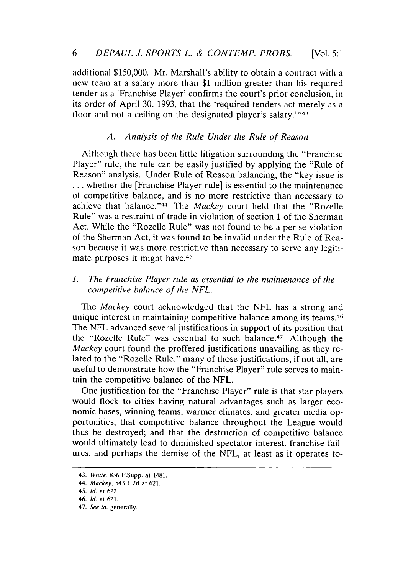additional **\$150,000.** Mr. Marshall's ability to obtain a contract with a new team at a salary more than **\$1** million greater than his required tender as a 'Franchise Player' confirms the court's prior conclusion, in its order of April **30, 1993,** that the 'required tenders act merely as a floor and not a ceiling on the designated player's salary.'"43

# *A. Analysis of the Rule Under the Rule of Reason*

Although there has been little litigation surrounding the "Franchise Player" rule, the rule can be easily justified **by** applying the "Rule of Reason" analysis. Under Rule of Reason balancing, the "key issue is **...** whether the [Franchise Player rule] is essential to the maintenance of competitive balance, and is no more restrictive than necessary to achieve that balance." 44 The *Mackey* court held that the "Rozelle Rule" was a restraint of trade in violation of section **1** of the Sherman Act. While the "Rozelle Rule" was not found to be a per se violation of the Sherman Act, it was found to be invalid under the Rule of Reason because it was more restrictive than necessary to serve any legitimate purposes it might have.<sup>45</sup>

## *1. The Franchise Player rule as essential to the maintenance of the competitive balance of the NFL.*

*The Mackey* court acknowledged that the **NFL** has a strong and unique interest in maintaining competitive balance among its teams.46 The **NFL** advanced several justifications in support of its position that the "Rozelle Rule" was essential to such balance.<sup>47</sup> Although the *Mackey* court found the proffered justifications unavailing as they related to the "Rozelle Rule," many of those justifications, if not all, are useful to demonstrate how the "Franchise Player" rule serves to maintain the competitive balance of the **NFL.**

One justification for the "Franchise Player" rule is that star players would flock to cities having natural advantages such as larger economic bases, winning teams, warmer climates, and greater media opportunities; that competitive balance throughout the League would thus be destroyed; and that the destruction of competitive balance would ultimately lead to diminished spectator interest, franchise failures, and perhaps the demise of the **NFL,** at least as it operates to-

*<sup>43.</sup> White,* **836 F.Supp. at 1481.**

**<sup>44.</sup> Mackey,** 543 **F.2d at 621.**

<sup>45.</sup> **Id. at 622.**

**<sup>46.</sup> Id. at 621.**

**<sup>47.</sup> See id.** generally.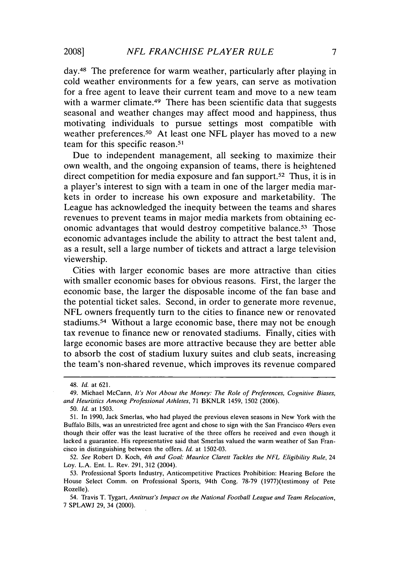day.<sup>48</sup> The preference for warm weather, particularly after playing in cold weather environments for a few years, can serve as motivation for a free agent to leave their current team and move to a new team with a warmer climate.<sup>49</sup> There has been scientific data that suggests seasonal and weather changes may affect mood and happiness, thus motivating individuals to pursue settings most compatible with weather preferences.50 At least one **NFL** player has moved to a new team for this specific reason.<sup>51</sup>

Due to independent management, all seeking to maximize their own wealth, and the ongoing expansion of teams, there is heightened direct competition for media exposure and fan support.<sup>52</sup> Thus, it is in a player's interest to sign with a team in one of the larger media markets in order to increase his own exposure and marketability. The League has acknowledged the inequity between the teams and shares revenues to prevent teams in major media markets from obtaining economic advantages that would destroy competitive balance.53 Those economic advantages include the ability to attract the best talent and, as a result, sell a large number of tickets and attract a large television viewership.

Cities with larger economic bases are more attractive than cities with smaller economic bases for obvious reasons. First, the larger the economic base, the larger the disposable income of the fan base and the potential ticket sales. Second, in order to generate more revenue, **NFL** owners frequently turn to the cities to finance new or renovated stadiums.54 Without a large economic base, there may not be enough tax revenue to finance new or renovated stadiums. Finally, cities with large economic bases are more attractive because they are better able to absorb the cost of stadium luxury suites and club seats, increasing the team's non-shared revenue, which improves its revenue compared

<sup>48.</sup> **Id.** at **621.**

<sup>49.</sup> Michael McCann, *It's* Not About *the Money: The Role of Preferences, Cognitive Biases, and Heuristics Among Professional Athletes,* **71** BKNLR 1459, **1502 (2006).**

*<sup>50.</sup> Id.* at **1503.**

**<sup>51.</sup>** In **1990,** Jack Smerlas, who had played the previous eleven seasons in New York with the Buffalo Bills, was an unrestricted free agent and chose to sign with the San Francisco 49ers even though their offer was the least lucrative of the three offers he received and even though it lacked a guarantee. His representative said that Smerlas valued the warm weather of San Francisco in distinguishing between the offers. *Id.* at **1502-03.**

*<sup>52.</sup> See* Robert **D.** Koch, *4th and Goal: Maurice Clarett Tackles the NFL Eligibility Rule, 24* Loy. **L.A.** Ent. L. Rev. **291, 312** (2004).

**<sup>53.</sup>** Professional Sports Industry, Anticompetitive Practices Prohibition: Hearing Before the House Select Comm. on Professional Sports, 94th Cong. **78-79** (1977)(testimony of Pete Rozelle).

<sup>54.</sup> Travis T. Tygart, *Antitrust's Impact on the National Football League and Team Relocation,* **7 SPLAWJ 29,** 34 (2000).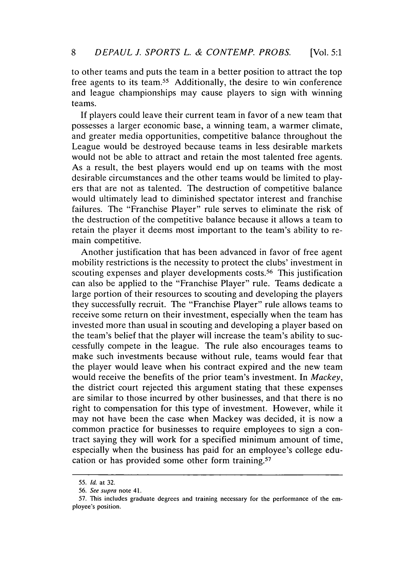to other teams and puts the team in a better position to attract the top free agents to its team.55 Additionally, the desire to win conference and league championships may cause players to sign with winning teams.

**If** players could leave their current team in favor of a new team that possesses a larger economic base, a winning team, a warmer climate, and greater media opportunities, competitive balance throughout the League would be destroyed because teams in less desirable markets would not be able to attract and retain the most talented free agents. As a result, the best players would end up on teams with the most desirable circumstances and the other teams would be limited to players that are not as talented. The destruction of competitive balance would ultimately lead to diminished spectator interest and franchise failures. The "Franchise Player" rule serves to eliminate the risk of the destruction of the competitive balance because it allows a team to retain the player it deems most important to the team's ability to remain competitive.

Another justification that has been advanced in favor of free agent mobility restrictions is the necessity to protect the clubs' investment in scouting expenses and player developments costs.<sup>56</sup> This justification can also be applied to the "Franchise Player" rule. Teams dedicate a large portion of their resources to scouting and developing the players they successfully recruit. The "Franchise Player" rule allows teams to receive some return on their investment, especially when the team has invested more than usual in scouting and developing a player based on the team's belief that the player will increase the team's ability to successfully compete in the league. The rule also encourages teams to make such investments because without rule, teams would fear that the player would leave when his contract expired and the new team would receive the benefits of the prior team's investment. In *Mackey,* the district court rejected this argument stating that these expenses are similar to those incurred **by** other businesses, and that there is no right to compensation for this type of investment. However, while it may not have been the case when Mackey was decided, it is now a common practice for businesses to require employees to sign a contract saying they will work for a specified minimum amount of time, especially when the business has paid for an employee's college education or has provided some other form training.<sup>57</sup>

**<sup>55.</sup> Id. at 32.**

*<sup>56.</sup>* **See supra note 41.**

**<sup>57.</sup> This includes graduate degrees and training necessary for the performance of the employee's position.**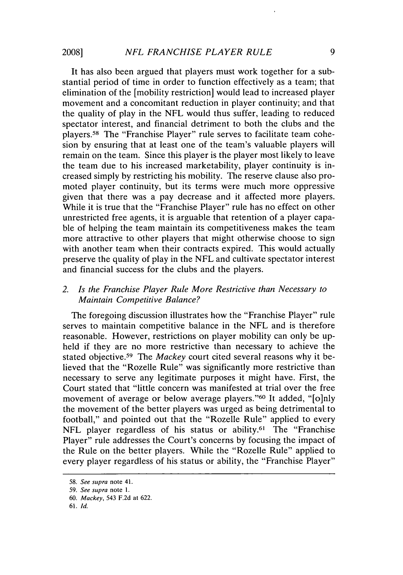It has also been argued that players must work together for a substantial period of time in order to function effectively as a team; that elimination of the [mobility restriction] would lead to increased player movement and a concomitant reduction in player continuity; and that the quality of play in the **NFL** would thus suffer, leading to reduced spectator interest, and financial detriment to both the clubs and the players.58 The "Franchise Player" rule serves to facilitate team cohesion **by** ensuring that at least one of the team's valuable players will remain on the team. Since this player is the player most likely to leave the team due to his increased marketability, player continuity is increased simply **by** restricting his mobility. The reserve clause also promoted player continuity, but its terms were much more oppressive given that there was a pay decrease and it affected more players. While it is true that the "Franchise Player" rule has no effect on other unrestricted free agents, it is arguable that retention of a player capable of helping the team maintain its competitiveness makes the team more attractive to other players that might otherwise choose to sign with another team when their contracts expired. This would actually preserve the quality of play in the **NFL** and cultivate spectator interest and financial success for the clubs and the players.

# *2. Is the Franchise Player Rule More Restrictive than Necessary to Maintain Competitive Balance?*

The foregoing discussion illustrates how the "Franchise Player" rule serves to maintain competitive balance in the **NFL** and is therefore reasonable. However, restrictions on player mobility can only be upheld if they are no more restrictive than necessary to achieve the stated objective.59 The *Mackey* court cited several reasons why it believed that the "Rozelle Rule" was significantly more restrictive than necessary to serve any legitimate purposes it might have. First, the Court stated that "little concern was manifested at trial over the free movement of average or below average players."<sup>60</sup> It added, "[o]nly the movement of the better players was urged as being detrimental to football," and pointed out that the "Rozelle Rule" applied to every NFL player regardless of his status or ability.<sup>61</sup> The "Franchise" Player" rule addresses the Court's concerns **by** focusing the impact of the Rule on the better players. While the "Rozelle Rule" applied to every player regardless of his status or ability, the "Franchise Player"

*<sup>58.</sup> See supra* note **41.**

*<sup>59.</sup> See supra* note **1.**

**<sup>60.</sup>** Mackey, 543 **F.2d** at **622.**

**<sup>61.</sup>** *Id.*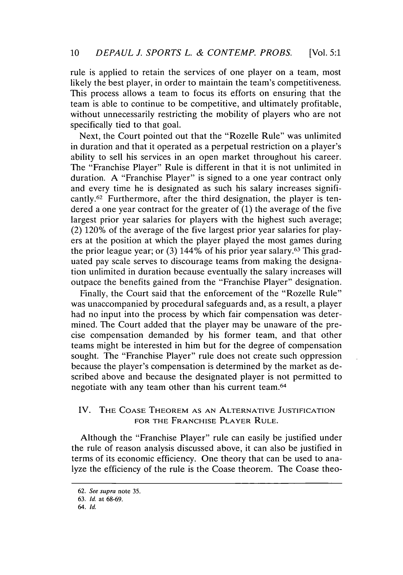rule is applied to retain the services of one player on a team, most likely the best player, in order to maintain the team's competitiveness. This process allows a team to focus its efforts on ensuring that the team is able to continue to be competitive, and ultimately profitable, without unnecessarily restricting the mobility of players who are not specifically tied to that goal.

Next, the Court pointed out that the "Rozelle Rule" was unlimited in duration and that it operated as a perpetual restriction on a player's ability to sell his services in an open market throughout his career. The "Franchise Player" Rule is different in that it is not unlimited in duration. **A** "Franchise Player" is signed to a one year contract only and every time he is designated as such his salary increases significantly.<sup>62</sup> Furthermore, after the third designation, the player is tendered a one year contract for the greater of **(1)** the average of the five largest prior year salaries for players with the highest such average; (2) 120% of the average of the five largest prior year salaries for players at the position at which the player played the most games during the prior league year; or **(3)** 144% of his prior year salary.63 This graduated pay scale serves to discourage teams from making the designation unlimited in duration because eventually the salary increases will outpace the benefits gained from the "Franchise Player" designation.

Finally, the Court said that the enforcement of the "Rozelle Rule" was unaccompanied **by** procedural safeguards and, as a result, a player had no input into the process **by** which fair compensation was determined. The Court added that the player may be unaware of the precise compensation demanded **by** his former team, and that other teams might be interested in him but for the degree of compensation sought. The "Franchise Player" rule does not create such oppression because the player's compensation is determined **by** the market as described above and because the designated player is not permitted to negotiate with any team other than his current team.64

# IV. **THE COASE THEOREM AS AN ALTERNATIVE JUSTIFICATION FOR THE FRANCHISE PLAYER RULE.**

Although the "Franchise Player" rule can easily be justified under the rule of reason analysis discussed above, it can also be justified in terms of its economic efficiency. One theory that can be used to analyze the efficiency of the rule is the Coase theorem. The Coase theo-

**<sup>62.</sup> See supra** note **35.**

**<sup>63.</sup> Id. at 68-69.**

**<sup>64.</sup> Id.**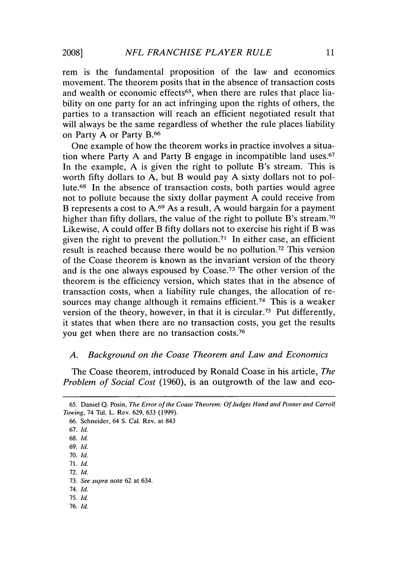rem is the fundamental proposition of the law and economics movement. The theorem posits that in the absence of transaction costs and wealth or economic effects<sup>65</sup>, when there are rules that place liability on one party for an act infringing upon the rights of others, the parties to a transaction will reach an efficient negotiated result that will always be the same regardless of whether the rule places liability on Party **A** or Party **B. <sup>6</sup> <sup>6</sup>**

One example of how the theorem works in practice involves a situation where Party **A** and Party B engage in incompatible land uses.<sup>67</sup> In the example, **A** is given the right to pollute B's stream. This is worth **fifty** dollars to **A,** but B would pay **A** sixty dollars not to pollute.<sup>68</sup> In the absence of transaction costs, both parties would agree not to pollute because the sixty dollar payment **A** could receive from B represents a cost to **A. <sup>6</sup> <sup>9</sup>**As a result, **A** would bargain for a payment higher than fifty dollars, the value of the right to pollute B's stream.<sup>70</sup> Likewise, **A** could offer B **fifty** dollars not to exercise his right if B was given the right to prevent the pollution.<sup>71</sup> In either case, an efficient result is reached because there would be no pollution. 72 This version of the Coase theorem is known as the invariant version of the theory and is the one always espoused **by** Coase.73 The other version of the theorem is the efficiency version, which states that in the absence of transaction costs, when a liability rule changes, the allocation of resources may change although it remains efficient.<sup>74</sup> This is a weaker version of the theory, however, in that it is circular.<sup>75</sup> Put differently, it states that when there are no transaction costs, you get the results you get when there are no transaction costs.<sup>76</sup>

#### *A. Background on the Coase Theorem and Law and Economics*

The Coase theorem, introduced **by** Ronald Coase in his article, *The Problem of Social Cost* **(1960),** is an outgrowth of the law and eco-

**66.** Schneider, 64 **S.** Cal. Rev. at 843 **67.** *Id.* **68.** *Id.* **69.** *Id.* **70.** *Id.* **71.** *Id.* **72.** *Id.* **73.** *See supra* note **62** at 634. *74. Id.* **75.** *Id.* **76.** *Id.*

**<sup>65.</sup>** Daniel **Q.** Posin, *The Error of the Coase Theorem: Of Judges Hand and Posner and Carroll Towing,* 74 Tul. L. Rev. **629, 633 (1999).**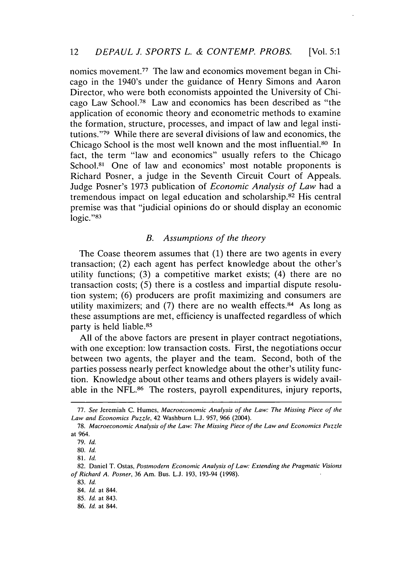nomics movement.<sup>77</sup> The law and economics movement began in Chicago in the 1940's under the guidance of Henry Simons and Aaron Director, who were both economists appointed the University of Chicago Law School.78 Law and economics has been described as "the application of economic theory and econometric methods to examine the formation, structure, processes, and impact of law and legal institutions."<sup>79</sup> While there are several divisions of law and economics, the Chicago School is the most well known and the most influential.80 In fact, the term "law and economics" usually refers to the Chicago School.<sup>81</sup> One of law and economics' most notable proponents is Richard Posner, a judge in the Seventh Circuit Court of Appeals. Judge Posner's **1973** publication of *Economic Analysis of Law* had a tremendous impact on legal education and scholarship. 82 His central premise was that "judicial opinions do or should display an economic **logic."8 <sup>3</sup>**

#### *B. Assumptions of the theory*

The Coase theorem assumes that **(1)** there are two agents in every transaction; (2) each agent has perfect knowledge about the other's utility functions; **(3)** a competitive market exists; (4) there are no transaction costs; *(5)* there is a costless and impartial dispute resolution system; **(6)** producers are profit maximizing and consumers are utility maximizers; and (7) there are no wealth effects.<sup>84</sup> As long as these assumptions are met, efficiency is unaffected regardless of which party is held liable.<sup>85</sup>

**All** of the above factors are present in player contract negotiations, with one exception: low transaction costs. First, the negotiations occur between two agents, the player and the team. Second, both of the parties possess nearly perfect knowledge about the other's utility function. Knowledge about other teams and others players is widely available in the NFL.<sup>86</sup> The rosters, payroll expenditures, injury reports,

**<sup>77.</sup>** See **Jeremiah C.** Humes, Macroeconomic Analysis of the Law: The Missing Piece of the Law and Economics Puzzle, 42 Washburn **L.J. 957, 966** (2004).

*<sup>78.</sup>* Macroeconomic Analysis of the Law: The Missing Piece of the Law and Economics Puzzle **at 964.**

**<sup>79.</sup>** Id.

**<sup>80.</sup>** Id.

*<sup>81.</sup>* **Id.**

**<sup>82.</sup>** Daniel T. Ostas, Postmodern Economic Analysis of Law: Extending the Pragmatic Visions **of** Richard **A.** Posner, **36** Am. Bus. **L.J. 193,** 193-94 **(1998).**

**<sup>83.</sup> Id.**

<sup>84.</sup> **Id.** at 844.

**<sup>85.</sup> Id.** at 843.

**<sup>86.</sup> Id.** at 844.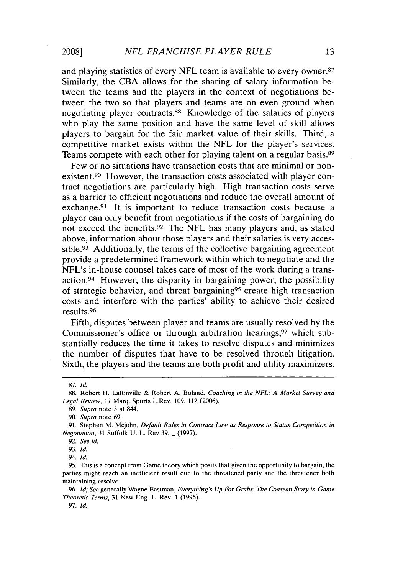and playing statistics of every **NFL** team is available to every owner.87 Similarly, the **CBA** allows for the sharing of salary information between the teams and the players in the context of negotiations between the two so that players and teams are on even ground when negotiating player contracts.88 Knowledge of the salaries of players who play the same position and have the same level of skill allows players to bargain for the fair market value of their skills. Third, a competitive market exists within the **NFL** for the player's services. Teams compete with each other for playing talent on a regular basis.89

Few or no situations have transaction costs that are minimal or nonexistent.90 However, the transaction costs associated with player contract negotiations are particularly high. High transaction costs serve as a barrier to efficient negotiations and reduce the overall amount of exchange.<sup>91</sup> It is important to reduce transaction costs because a player can only benefit from negotiations if the costs of bargaining do not exceed the benefits.92 The **NFL** has many players and, as stated above, information about those players and their salaries is very accessible.<sup>93</sup> Additionally, the terms of the collective bargaining agreement provide a predetermined framework within which to negotiate and the NFL's in-house counsel takes care of most of the work during a transaction.<sup>94</sup> However, the disparity in bargaining power, the possibility of strategic behavior, and threat bargaining<sup>95</sup> create high transaction costs and interfere with the parties' ability to achieve their desired results. <sup>96</sup>

Fifth, disputes between player and teams are usually resolved **by** the Commissioner's office or through arbitration hearings,<sup>97</sup> which substantially reduces the time it takes to resolve disputes and minimizes the number of disputes that have to be resolved through litigation. Sixth, the players and the teams are both profit and utility maximizers.

94. *Id.*

**<sup>87.</sup>** *Id.*

**<sup>88.</sup>** Robert H. Lattinville **&** Robert **A.** Boland, *Coaching in the NFL: A Market Survey and Legal Review,* **17** Marq. Sports L.Rev. **109,** 112 **(2006).**

**<sup>89.</sup>** *Supra* note **3** at 844.

**<sup>90.</sup>** *Supra* note **69.**

**<sup>91.</sup>** Stephen M. Mcjohn, *Default Rules in Contract Law as Response to Status Competition in Negotiation,* **31** Suffolk **U.** L. Rev **39, - (1997).**

**<sup>92.</sup>** *See id.*

**<sup>93.</sup>** *Id.*

**<sup>95.</sup>** This is a concept from Game theory which posits that given the opportunity to bargain, the parties might reach an inefficient result due to the threatened party and the threatener both maintaining resolve.

**<sup>96.</sup>** *Id; See* generally Wayne **Eastman,** *Everything's Up For Grabs: The Coasean Story in Game Theoretic Terms,* **31** New Eng. L. Rev. **1 (1996).**

**<sup>97.</sup>** *Id.*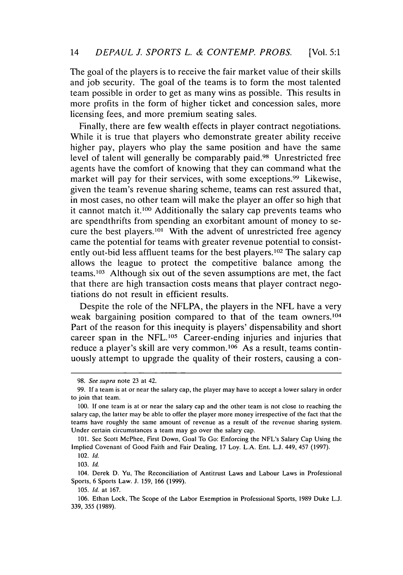The goal of the players is to receive the fair market value of their skills and job security. The goal of the teams is to form the most talented team possible in order to get as many wins as possible. This results in more profits in the form of higher ticket and concession sales, more licensing fees, and more premium seating sales.

Finally, there are few wealth effects in player contract negotiations. While it is true that players who demonstrate greater ability receive higher pay, players who play the same position and have the same level of talent will generally be comparably paid.<sup>98</sup> Unrestricted free agents have the comfort of knowing that they can command what the market will pay for their services, with some exceptions.<sup>99</sup> Likewise, given the team's revenue sharing scheme, teams can rest assured that, in most cases, no other team will make the player an offer so high that it cannot match it.100 Additionally the salary cap prevents teams who are spendthrifts from spending an exorbitant amount of money to secure the best players.10' With the advent of unrestricted free agency came the potential for teams with greater revenue potential to consistently out-bid less affluent teams for the best players.102 The salary cap allows the league to protect the competitive balance among the teams.103 Although six out of the seven assumptions are met, the fact that there are high transaction costs means that player contract negotiations do not result in efficient results.

Despite the role of the **NFLPA,** the players in the **NFL** have a very weak bargaining position compared to that of the team owners.104 Part of the reason for this inequity is players' dispensability and short career span in the NFL.<sup>105</sup> Career-ending injuries and injuries that reduce a player's skill are very common.106 As a result, teams contin**uously** attempt to upgrade the quality of their rosters, causing a con-

**101.** See Scott McPhee, First Down, Goal To Go: Enforcing the NFL's Salary Cap Using the Implied Covenant of Good Faith and Fair Dealing, **17** Loy. **L.A.** Ent. **L.J.** 449, 457 **(1997).**

104. Derek **D.** Yu, The Reconciliation of Antitrust Laws and Labour Laws in Professional Sports, **6** Sports Law. **J. 159, 166 (1999).**

*<sup>98.</sup>* See supra **note 23** at 42.

**<sup>99.</sup> If** a team is at or near the salary cap, the player may have to accept a lower salary in order to join that team.

**<sup>100.</sup> If** one team is at or near the salary cap and the other team is not close to reaching the salary cap, the latter may be able to offer the player more money irrespective of the fact that the teams have roughly the same amount of revenue as a result of the revenue sharing system. Under certain circumstances a team may go over the salary cap.

<sup>102.</sup> **Id.**

**<sup>103.</sup> Id.**

**<sup>105.</sup> Id.** at **167.**

**<sup>106.</sup>** Ethan Lock, The Scope of the Labor Exemption in Professional Sports, **1989** Duke **L.J. 339, 355 (1989).**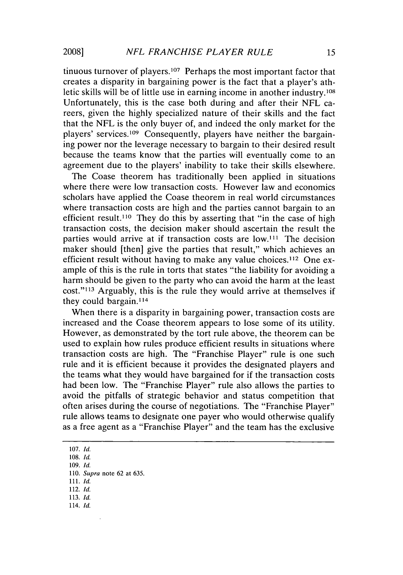tinuous turnover of players.<sup>107</sup> Perhaps the most important factor that creates a disparity in bargaining power is the fact that a player's athletic skills will be of little use in earning income in another industry.108 Unfortunately, this is the case both during and after their **NFL** careers, given the **highly** specialized nature of their skills and the fact that the **NFL** is the only buyer of, and indeed the only market for the players' services. 109 Consequently, players have neither the bargaining power nor the leverage necessary to bargain to their desired result because the teams know that the parties will eventually come to an agreement due to the players' inability to take their skills elsewhere.

The Coase theorem has traditionally been applied in situations where there were low transaction costs. However law and economics scholars have applied the Coase theorem in real world circumstances where transaction costs are high and the parties cannot bargain to an efficient result.110 They do this **by** asserting that "in the case of high transaction costs, the decision maker should ascertain the result the parties would arrive at if transaction costs are low.<sup>111</sup> The decision maker should [then] give the parties that result," which achieves an efficient result without having to make any value choices.112 One example of this is the rule in torts that states "the liability for avoiding a harm should be given to the party who can avoid the harm at the least cost."<sup>113</sup> Arguably, this is the rule they would arrive at themselves if they could bargain.<sup>114</sup>

When there is a disparity in bargaining power, transaction costs are increased and the Coase theorem appears to lose some of its utility. However, as demonstrated **by** the tort rule above, the theorem can be used to explain how rules produce efficient results in situations where transaction costs are high. The "Franchise Player" rule is one such rule and it is efficient because it provides the designated players and the teams what they would have bargained for if the transaction costs had been low. The "Franchise Player" rule also allows the parties to avoid the pitfalls of strategic behavior and status competition that often arises during the course of negotiations. The "Franchise Player" rule allows teams to designate one payer who would otherwise qualify as a free agent as a "Franchise Player" and the team has the exclusive

**107.** *Id.*

**108.** *Id.*

**109.** *Id.*

**110.** *Supra* note **62** at **635.**

**111.** *Id.*

112. **Id.**

**113.** *Id.*

114. *Id.*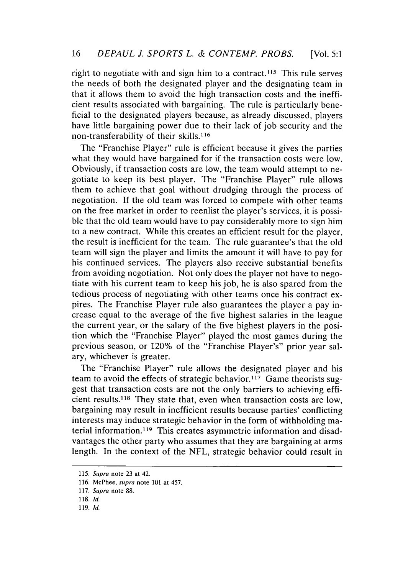right to negotiate with and sign him to a contract.<sup>115</sup> This rule serves the needs of both the designated player and the designating team in that it allows them to avoid the high transaction costs and the inefficient results associated with bargaining. The rule is particularly beneficial to the designated players because, as already discussed, players have little bargaining power due to their lack of **job** security and the non-transferability of their skills.<sup>116</sup>

The "Franchise Player" rule is efficient because it gives the parties what they would have bargained for if the transaction costs were low. Obviously, if transaction costs are low, the team would attempt to negotiate to keep its best player. The "Franchise Player" rule allows them to achieve that goal without drudging through the process of negotiation. **If** the old team was forced to compete with other teams on the free market in order to reenlist the player's services, it is possible that the old team would have to pay considerably more to sign him to a new contract. While this creates an efficient result for the player, the result is inefficient for the team. The rule guarantee's that the old team will sign the player and limits the amount it will have to pay for his continued services. The players also receive substantial benefits from avoiding negotiation. Not only does the player not have to negotiate with his current team to keep his **job,** he is also spared from the tedious process of negotiating with other teams once his contract expires. The Franchise Player rule also guarantees the player a pay increase equal to the average of the five highest salaries in the league the current year, or the salary of the five highest players in the position which the "Franchise Player" played the most games during the previous season, or 120% of the "Franchise Player's" prior year salary, whichever is greater.

The "Franchise Player" rule allows the designated player and his team to avoid the effects of strategic behavior.117 Game theorists suggest that transaction costs are not the only barriers to achieving efficient results.<sup>118</sup> They state that, even when transaction costs are low, bargaining may result in inefficient results because parties' conflicting interests may induce strategic behavior in the form of withholding material information. 119 This creates asymmetric information and disadvantages the other party who assumes that they are bargaining at arms length. In the context of the **NFL,** strategic behavior could result in

**<sup>115.</sup> Supra note 23 at 42.**

**<sup>116.</sup> McPhee, supra note 101 at 457.**

**<sup>117.</sup> Supra note 88.**

**<sup>118.</sup> Id.**

**<sup>119.</sup> Id.**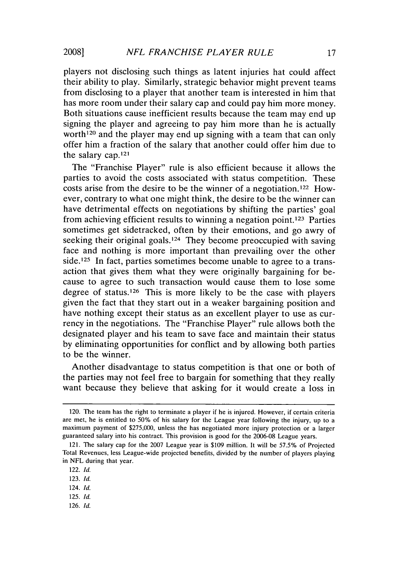players not disclosing such things as latent injuries hat could affect their ability to play. Similarly, strategic behavior might prevent teams from disclosing to a player that another team is interested in him that has more room under their salary cap and could pay him more money. Both situations cause inefficient results because the team may end up signing the player and agreeing to pay him more than he is actually worth<sup>120</sup> and the player may end up signing with a team that can only offer him a fraction of the salary that another could offer him due to the salary cap.1<sup>21</sup>

The "Franchise Player" rule is also efficient because it allows the parties to avoid the costs associated with status competition. These costs arise from the desire to be the winner of a negotiation.122 However, contrary to what one might think, the desire to be the winner can have detrimental effects on negotiations **by** shifting the parties' goal from achieving efficient results to winning a negation point.123 Parties sometimes get sidetracked, often **by** their emotions, and go awry of seeking their original goals.<sup>124</sup> They become preoccupied with saving face and nothing is more important than prevailing over the other side.<sup>125</sup> In fact, parties sometimes become unable to agree to a transaction that gives them what they were originally bargaining for because to agree to such transaction would cause them to lose some degree of status.126 This is more likely to be the case with players given the fact that they start out in a weaker bargaining position and have nothing except their status as an excellent player to use as currency in the negotiations. The "Franchise Player" rule allows both the designated player and his team to save face and maintain their status **by** eliminating opportunities for conflict and **by** allowing both parties to be the winner.

Another disadvantage to status competition is that one or both of the parties may not feel free to bargain for something that they really want because they believe that asking for it would create a loss in

- **125.** *Id.*
- **126.** *Id.*

<sup>120.</sup> The team has the right to terminate a player if he is injured. However, if certain criteria are met, he is entitled to **50%** of his salary for the League year following the injury, up to a maximum payment of **\$275,000,** unless the has negotiated more injury protection or a larger guaranteed salary into his contract. This provision is good for the **2006-08** League years.

<sup>121.</sup> The salary cap for the **2007** League year is **\$109** million. It will be **57.5%** of Projected Total Revenues, less League-wide projected benefits, divided **by** the number of players playing in **NFL** during that year.

<sup>122.</sup> *Id.*

**<sup>123.</sup>** *Id.*

<sup>124.</sup> *Id.*